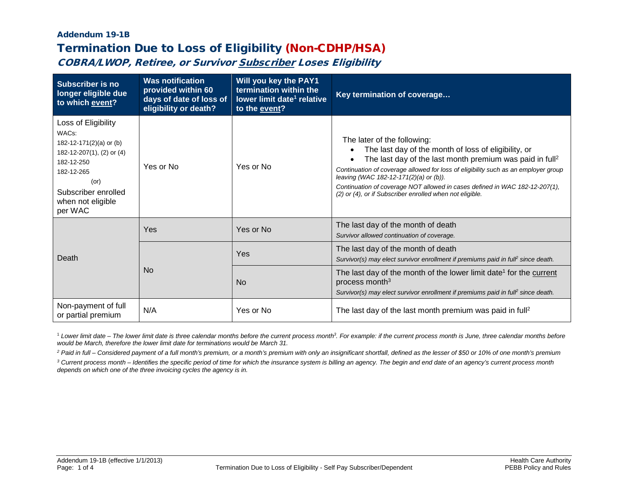# Addendum 19-1B Termination Due to Loss of Eligibility (Non-CDHP/HSA)

COBRA/LWOP, Retiree, or Survivor Subscriber Loses Eligibility

| <b>Subscriber is no</b><br>longer eligible due<br>to which event?                                                                                                                            | <b>Was notification</b><br>provided within 60<br>days of date of loss of<br>eligibility or death? | Will you key the PAY1<br>termination within the<br>lower limit date <sup>1</sup> relative<br>to the event? | Key termination of coverage                                                                                                                                                                                                                                                                                                                                                                                                            |
|----------------------------------------------------------------------------------------------------------------------------------------------------------------------------------------------|---------------------------------------------------------------------------------------------------|------------------------------------------------------------------------------------------------------------|----------------------------------------------------------------------------------------------------------------------------------------------------------------------------------------------------------------------------------------------------------------------------------------------------------------------------------------------------------------------------------------------------------------------------------------|
| Loss of Eligibility<br>WAC <sub>s</sub> :<br>182-12-171(2)(a) or (b)<br>182-12-207(1), (2) or (4)<br>182-12-250<br>182-12-265<br>(or)<br>Subscriber enrolled<br>when not eligible<br>per WAC | Yes or No                                                                                         | Yes or No                                                                                                  | The later of the following:<br>The last day of the month of loss of eligibility, or<br>The last day of the last month premium was paid in full <sup>2</sup><br>Continuation of coverage allowed for loss of eligibility such as an employer group<br>leaving (WAC 182-12-171(2)(a) or (b)).<br>Continuation of coverage NOT allowed in cases defined in WAC 182-12-207(1),<br>(2) or (4), or if Subscriber enrolled when not eligible. |
| Death                                                                                                                                                                                        | Yes                                                                                               | Yes or No                                                                                                  | The last day of the month of death<br>Survivor allowed continuation of coverage.                                                                                                                                                                                                                                                                                                                                                       |
|                                                                                                                                                                                              | N <sub>0</sub>                                                                                    | Yes                                                                                                        | The last day of the month of death<br>Survivor(s) may elect survivor enrollment if premiums paid in fulf since death.                                                                                                                                                                                                                                                                                                                  |
|                                                                                                                                                                                              |                                                                                                   | <b>No</b>                                                                                                  | The last day of the month of the lower limit date <sup>1</sup> for the current<br>process month <sup>3</sup><br>Survivor(s) may elect survivor enrollment if premiums paid in fulf since death.                                                                                                                                                                                                                                        |
| Non-payment of full<br>or partial premium                                                                                                                                                    | N/A                                                                                               | Yes or No                                                                                                  | The last day of the last month premium was paid in full <sup>2</sup>                                                                                                                                                                                                                                                                                                                                                                   |

<sup>1</sup> Lower limit date – The lower limit date is three calendar months before the current process month?. For example: if the current process month is June, three calendar months before *would be March, therefore the lower limit date for terminations would be March 31.*

*<sup>2</sup> Paid in full – Considered payment of a full month's premium, or a month's premium with only an insignificant shortfall, defined as the lesser of \$50 or 10% of one month's premium*

*<sup>3</sup> Current process month – Identifies the specific period of time for which the insurance system is billing an agency. The begin and end date of an agency's current process month depends on which one of the three invoicing cycles the agency is in.*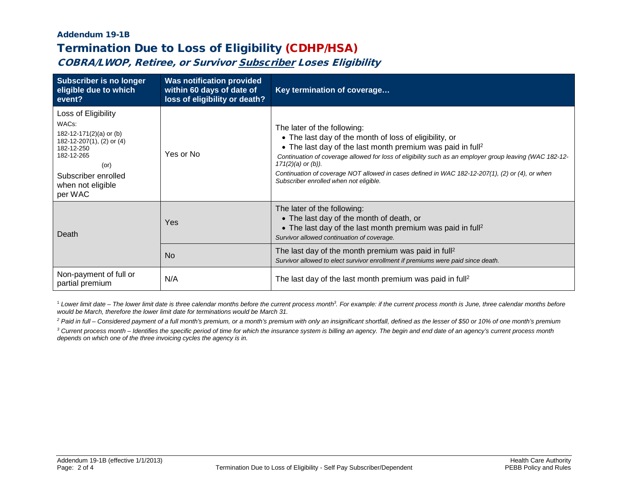# Addendum 19-1B Termination Due to Loss of Eligibility (CDHP/HSA)

COBRA/LWOP, Retiree, or Survivor Subscriber Loses Eligibility

| <b>Subscriber is no longer</b><br>eligible due to which<br>event?                                                                                                                     | <b>Was notification provided</b><br>within 60 days of date of<br>loss of eligibility or death? | Key termination of coverage                                                                                                                                                                                                                                                                                                                                                                                                                        |
|---------------------------------------------------------------------------------------------------------------------------------------------------------------------------------------|------------------------------------------------------------------------------------------------|----------------------------------------------------------------------------------------------------------------------------------------------------------------------------------------------------------------------------------------------------------------------------------------------------------------------------------------------------------------------------------------------------------------------------------------------------|
| Loss of Eligibility<br>WACs:<br>182-12-171(2)(a) or (b)<br>182-12-207(1), (2) or (4)<br>182-12-250<br>182-12-265<br>$($ or $)$<br>Subscriber enrolled<br>when not eligible<br>per WAC | Yes or No                                                                                      | The later of the following:<br>• The last day of the month of loss of eligibility, or<br>• The last day of the last month premium was paid in full <sup>2</sup><br>Continuation of coverage allowed for loss of eligibility such as an employer group leaving (WAC 182-12-<br>$171(2)(a)$ or $(b)$ ).<br>Continuation of coverage NOT allowed in cases defined in WAC 182-12-207(1), (2) or (4), or when<br>Subscriber enrolled when not eligible. |
| Death                                                                                                                                                                                 | Yes                                                                                            | The later of the following:<br>• The last day of the month of death, or<br>• The last day of the last month premium was paid in full <sup>2</sup><br>Survivor allowed continuation of coverage.                                                                                                                                                                                                                                                    |
|                                                                                                                                                                                       | <b>No</b>                                                                                      | The last day of the month premium was paid in full <sup>2</sup><br>Survivor allowed to elect survivor enrollment if premiums were paid since death.                                                                                                                                                                                                                                                                                                |
| Non-payment of full or<br>partial premium                                                                                                                                             | N/A                                                                                            | The last day of the last month premium was paid in full <sup>2</sup>                                                                                                                                                                                                                                                                                                                                                                               |

<sup>1</sup> Lower limit date – The lower limit date is three calendar months before the current process month?. For example: if the current process month is June, three calendar months before *would be March, therefore the lower limit date for terminations would be March 31.*

*<sup>2</sup> Paid in full – Considered payment of a full month's premium, or a month's premium with only an insignificant shortfall, defined as the lesser of \$50 or 10% of one month's premium*

*<sup>3</sup> Current process month – Identifies the specific period of time for which the insurance system is billing an agency. The begin and end date of an agency's current process month depends on which one of the three invoicing cycles the agency is in.*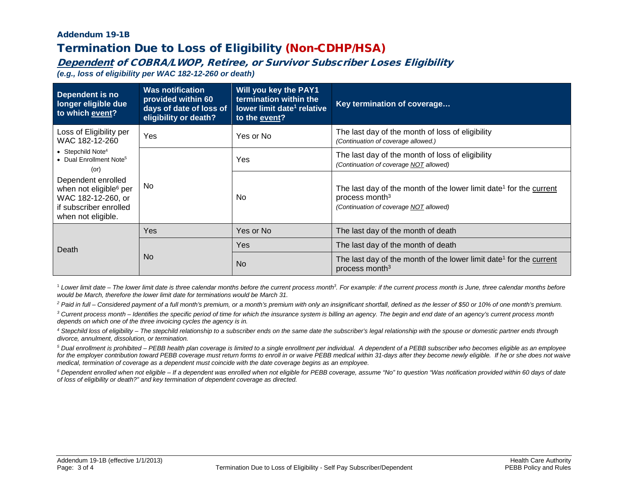### Addendum 19-1B Termination Due to Loss of Eligibility (Non-CDHP/HSA)

## Dependent of COBRA/LWOP, Retiree, or Survivor Subscriber Loses Eligibility

*(e.g., loss of eligibility per WAC 182-12-260 or death)*

| Dependent is no<br>longer eligible due<br>to which event?                                                                             | <b>Was notification</b><br>provided within 60<br>days of date of loss of<br>eligibility or death? | Will you key the PAY1<br>termination within the<br>lower limit date <sup>1</sup> relative<br>to the event? | Key termination of coverage                                                                                                                            |
|---------------------------------------------------------------------------------------------------------------------------------------|---------------------------------------------------------------------------------------------------|------------------------------------------------------------------------------------------------------------|--------------------------------------------------------------------------------------------------------------------------------------------------------|
| Loss of Eligibility per<br>WAC 182-12-260                                                                                             | Yes                                                                                               | Yes or No                                                                                                  | The last day of the month of loss of eligibility<br>(Continuation of coverage allowed.)                                                                |
| • Stepchild Note <sup>4</sup><br>• Dual Enrollment Note <sup>5</sup><br>(or)                                                          |                                                                                                   | Yes                                                                                                        | The last day of the month of loss of eligibility<br>(Continuation of coverage NOT allowed)                                                             |
| Dependent enrolled<br>No.<br>when not eligible <sup>6</sup> per<br>WAC 182-12-260, or<br>if subscriber enrolled<br>when not eligible. |                                                                                                   | <b>No</b>                                                                                                  | The last day of the month of the lower limit date <sup>1</sup> for the current<br>process month <sup>3</sup><br>(Continuation of coverage NOT allowed) |
| Death                                                                                                                                 | Yes                                                                                               | Yes or No                                                                                                  | The last day of the month of death                                                                                                                     |
|                                                                                                                                       | <b>No</b>                                                                                         | <b>Yes</b>                                                                                                 | The last day of the month of death                                                                                                                     |
|                                                                                                                                       |                                                                                                   | <b>No</b>                                                                                                  | The last day of the month of the lower limit date <sup>1</sup> for the current<br>process month <sup>3</sup>                                           |

<sup>1</sup> Lower limit date – The lower limit date is three calendar months before the current process month?. For example: if the current process month is June, three calendar months before *would be March, therefore the lower limit date for terminations would be March 31.*

*<sup>2</sup> Paid in full – Considered payment of a full month's premium, or a month's premium with only an insignificant shortfall, defined as the lesser of \$50 or 10% of one month's premium.*

*<sup>3</sup> Current process month – Identifies the specific period of time for which the insurance system is billing an agency. The begin and end date of an agency's current process month depends on which one of the three invoicing cycles the agency is in.*

*<sup>4</sup> Stepchild loss of eligibility – The stepchild relationship to a subscriber ends on the same date the subscriber's legal relationship with the spouse or domestic partner ends through divorce, annulment, dissolution, or termination.*

*<sup>5</sup> Dual enrollment is prohibited – PEBB health plan coverage is limited to a single enrollment per individual. A dependent of a PEBB subscriber who becomes eligible as an employee*  for the employer contribution toward PEBB coverage must return forms to enroll in or waive PEBB medical within 31-days after they become newly eligible. If he or she does not waive *medical, termination of coverage as a dependent must coincide with the date coverage begins as an employee.*

*<sup>6</sup> Dependent enrolled when not eligible – If a dependent was enrolled when not eligible for PEBB coverage, assume "No" to question "Was notification provided within 60 days of date of loss of eligibility or death?" and key termination of dependent coverage as directed.*